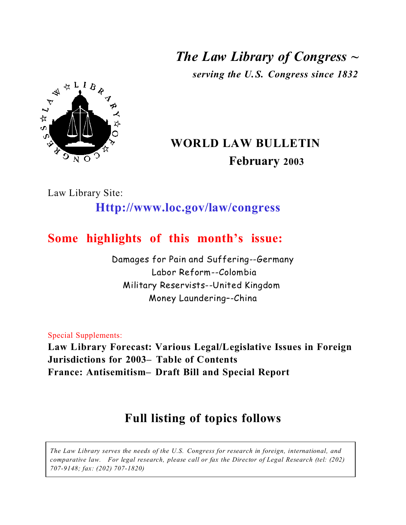*The Law Library of Congress ~ serving the U.S. Congress since 1832*



# **WORLD LAW BULLETIN February 2003**

Law Library Site:

# **Http://www.loc.gov/law/congress**

# **Some highlights of this month's issue:**

Damages for Pain and Suffering--Germany Labor Reform--Colombia Military Reservists--United Kingdom Money Laundering–-China

Special Supplements:

**Law Library Forecast: Various Legal/Legislative Issues in Foreign Jurisdictions for 2003– Table of Contents France: Antisemitism– Draft Bill and Special Report**

# **Full listing of topics follows**

*The Law Library serves the needs of the U.S. Congress for research in foreign, international, and comparative law. For legal research, please call or fax the Director of Legal Research (tel: (202) 707-9148; fax: (202) 707-1820)*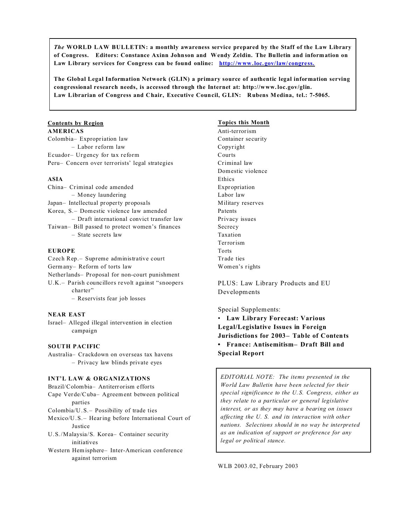*The* **WORLD LAW BULLETIN: a monthly awareness service prepared by the Staff of the Law Library of Congress. Editors: Constance Axinn Johnson and Wendy Zeldin. The Bulletin and information on Law Library services for Congress can be found online: http://www.loc. gov/law/ congress.**

**The Global Legal Information Network (GLIN) a primary source of authentic legal information serving congressional research needs, is accessed through the Internet at: http://www. loc.gov/glin. Law Librarian of Congress and Chair, Executive Council, GLIN: Rubens Medina, tel.: 7-5065.**

## **Contents by Region**

#### **AMERICAS**

Colombia– Expropriation law – Labor r eform law Ecuador– Urgency for tax reform Peru– Concern over terrorists' legal strategies

#### **ASIA**

| China- Criminal code amended                    |
|-------------------------------------------------|
| $-$ Money laundering                            |
| Japan- Intellectual property proposals          |
| Korea, S.- Domestic violence law amended        |
| - Draft international convict transfer law      |
| Taiwan– Bill passed to protect women's finances |
| - State secrets law                             |
|                                                 |

#### **EUROPE**

Czech Rep.– Supreme administrative court Germany– Reform of torts law Netherlands– Proposal for non-court punishment U.K.– Parish councillors revolt against "snoopers charter"

– Reservists fear job losses

#### **NEAR EAST**

Israel– Alleged illegal intervention in election campaign

#### **SOUTH PACIFIC**

Australia– Crackdown on overseas tax havens – Privacy law blinds private eyes

#### **INT'L LAW & ORGANIZATIONS**

Brazil/Colombia– Antiterr orism efforts

Cape Verde/Cuba– Agreement between political parties

Colombia/U.S.– Possibility of trade ties

Mexico/U.S.– Hearing before International Court of Justice

U.S./Malaysia/S. Korea– Container security initiatives

Western Hemisphere– Inter-American conference against terrorism

#### **Topics this Month**

Anti-terrorism Container security Copyright Courts Criminal law Domestic violence Ethics Expropriation Labor law Military reserves Patents Privacy issues Secrecy Taxation Terrorism Torts Trade ties Women's rights

PLUS: Law Library Products and EU Developments

Special Supplements:

• **Law Library Forecast: Various Legal/Legislative Issues in Foreign Jurisdictions for 2003– Table of Contents • France: Antisemitism– Draft Bill and Special Report**

*EDITORIAL NOTE: The items presented in the World Law Bulletin have been selected for their special significance to the U. S. Congress, either as they relate to a particular or general legislative interest, or as they may have a bearing on issues affecting the U. S. and its interaction with other nations. Selections should in no way be interpreted as an indication of support or preference for any legal or political stance.*

WLB 2003.02, February 2003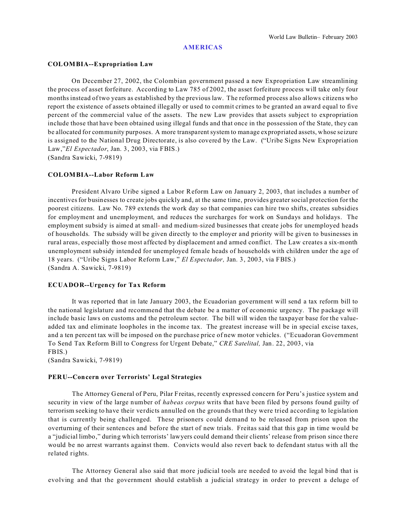#### **AMERICAS**

#### **COLOMBIA--Expropriation Law**

On December 27, 2002, the Colombian government passed a new Expropriation Law streamlining the process of asset forfeiture. According to Law 785 of 2002, the asset forfeiture process will take only four months instead of two years as established by the previous law. The reformed process also allows citizens who report the existence of assets obtained illegally or used to commit crimes to be granted an award equal to five percent of the commercial value of the assets. The new Law provides that assets subject to expropriation include those that have been obtained using illegal funds and that once in the possession of the State, they can be allocated for community purposes. A more transparent system to manage expropriated assets, whose seizure is assigned to the National Drug Directorate, is also covered by the Law. ("Uribe Signs New Expropriation Law,"*El Espectador*, Jan. 3, 2003, via FBIS.)

(Sandra Sawicki, 7-9819)

#### **COLOMBIA--Labor Reform Law**

President Alvaro Uribe signed a Labor Reform Law on January 2, 2003, that includes a number of incentives for businesses to create jobs quickly and, at the same time, provides greater social protection for the poorest citizens. Law No. 789 extends the work day so that companies can hire two shifts, creates subsidies for employment and unemployment, and reduces the surcharges for work on Sundays and holidays. The employment subsidy is aimed at small- and medium-sized businesses that create jobs for unemployed heads of households. The subsidy will be given directly to the employer and priority will be given to businesses in rural areas, especially those most affected by displacement and armed conflict. The Law creates a six-month unemployment subsidy intended for unemployed female heads of households with children under the age of 18 years. ("Uribe Signs Labor Reform Law," *El Espectador,* Jan. 3, 2003, via FBIS.) (Sandra A. Sawicki, 7-9819)

#### **ECUADOR--Urgency for Tax Reform**

It was reported that in late January 2003, the Ecuadorian government will send a tax reform bill to the national legislature and recommend that the debate be a matter of economic urgency. The package will include basic laws on customs and the petroleum sector. The bill will widen the taxpayer base for the valueadded tax and eliminate loopholes in the income tax. The greatest increase will be in special excise taxes, and a ten percent tax will be imposed on the purchase price of new motor vehicles. ("Ecuadoran Government To Send Tax Reform Bill to Congress for Urgent Debate," *CRE Satelital,* Jan. 22, 2003, via FBIS.)

(Sandra Sawicki, 7-9819)

#### **PERU--Concern over Terrorists' Legal Strategies**

The Attorney General of Peru, Pilar Freitas, recently expressed concern for Peru's justice system and security in view of the large number of *habeas corpus* writs that have been filed by persons found guilty of terrorism seeking to have their verdicts annulled on the grounds that they were tried according to legislation that is currently being challenged. These prisoners could demand to be released from prison upon the overturning of their sentences and before the start of new trials. Freitas said that this gap in time would be a "judicial limbo," during which terrorists' lawyers could demand their clients' release from prison since there would be no arrest warrants against them. Convicts would also revert back to defendant status with all the related rights.

The Attorney General also said that more judicial tools are needed to avoid the legal bind that is evolving and that the government should establish a judicial strategy in order to prevent a deluge of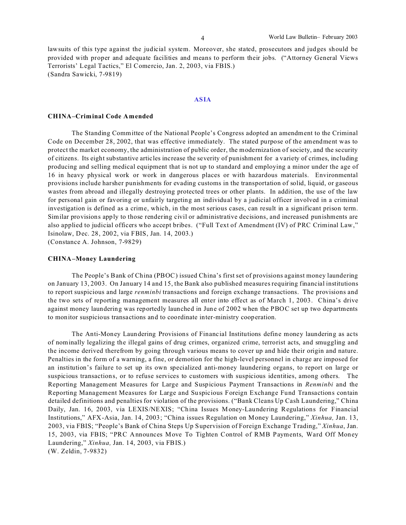lawsuits of this type against the judicial system. Moreover, she stated, prosecutors and judges should be provided with proper and adequate facilities and means to perform their jobs. ("Attorney General Views Terrorists' Legal Tactics," El Comercio, Jan. 2, 2003, via FBIS.) (Sandra Sawicki, 7-9819)

#### **ASIA**

#### **CHINA–Criminal Code Amended**

The Standing Committee of the National People's Congress adopted an amendment to the Criminal Code on December 28, 2002, that was effective immediately. The stated purpose of the amendment was to protect the market economy, the administration of public order, the modernization of society, and the security of citizens. Its eight substantive articles increase the severity of punishment for a variety of crimes, including producing and selling medical equipment that is not up to standard and employing a minor under the age of 16 in heavy physical work or work in dangerous places or with hazardous materials. Environmental provisions include harsher punishments for evading customs in the transportation of solid, liquid, or gaseous wastes from abroad and illegally destroying protected trees or other plants. In addition, the use of the law for personal gain or favoring or unfairly targeting an individual by a judicial officer involved in a criminal investigation is defined as a crime, which, in the most serious cases, can result in a significant prison term. Similar provisions apply to those rendering civil or administrative decisions, and increased punishments are also applied to judicial officers who accept bribes. ("Full Text of Amendment (IV) of PRC Criminal Law," Isinolaw, Dec. 28, 2002, via FBIS, Jan. 14, 2003.) (Constance A. Johnson, 7-9829)

#### **CHINA–Money Laundering**

The People's Bank of China (PBOC) issued China's first set of provisions against money laundering on January 13, 2003. On January 14 and 15, the Bank also published measures requiring financial institutions to report suspicious and large *renminbi* transactions and foreign exchange transactions. The provisions and the two sets of reporting management measures all enter into effect as of March 1, 2003. China's drive against money laundering was reportedly launched in June of 2002 when the PBOC set up two departments to monitor suspicious transactions and to coordinate inter-ministry cooperation.

The Anti-Money Laundering Provisions of Financial Institutions define money laundering as acts of nominally legalizing the illegal gains of drug crimes, organized crime, terrorist acts, and smuggling and the income derived therefrom by going through various means to cover up and hide their origin and nature. Penalties in the form of a warning, a fine, or demotion for the high-level personnel in charge are imposed for an institution's failure to set up its own specialized anti-money laundering organs, to report on large or suspicious transactions, or to refuse services to customers with suspicious identities, among others. The Reporting Management Measures for Large and Suspicious Payment Transactions in *Renminbi* and the Reporting Management Measures for Large and Suspicious Foreign Exchange Fund Transactions contain detailed definitions and penalties for violation of the provisions. ("Bank Cleans Up Cash Laundering," China Daily, Jan. 16, 2003, via LEXIS/NEXIS; "China Issues Money-Laundering Regulations for Financial Institutions," AFX-Asia, Jan. 14, 2003; "China issues Regulation on Money Laundering," *Xinhua,* Jan. 13, 2003, via FBIS; "People's Bank of China Steps Up Supervision of Foreign Exchange Trading," *Xinhua*, Jan. 15, 2003, via FBIS; "PRC Announces Move To Tighten Control of RMB Payments, Ward Off Money Laundering," *Xinhua,* Jan. 14, 2003, via FBIS.) (W. Zeldin, 7-9832)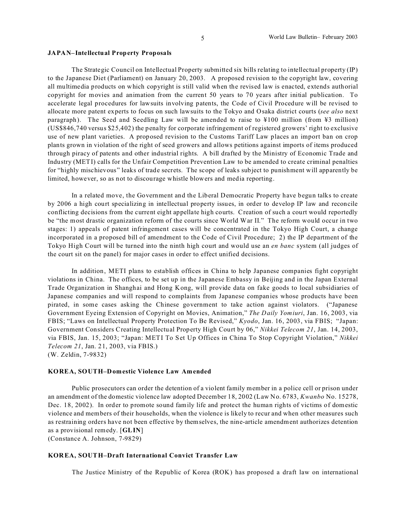#### **JAPAN–Intellectual Property Proposals**

The Strategic Council on Intellectual Property submitted six bills relating to intellectual property (IP) to the Japanese Diet (Parliament) on January 20, 2003. A proposed revision to the copyright law, covering all multimedia products on which copyright is still valid when the revised law is enacted, extends authorial copyright for movies and animation from the current 50 years to 70 years after initial publication. To accelerate legal procedures for lawsuits involving patents, the Code of Civil Procedure will be revised to allocate more patent experts to focus on such lawsuits to the Tokyo and Osaka district courts (*see also* next paragraph). The Seed and Seedling Law will be amended to raise to ¥100 million (from ¥3 million) (US\$846,740 versus \$25,402) the penalty for corporate infringement of registered growers' right to exclusive use of new plant varieties. A proposed revision to the Customs Tariff Law places an import ban on crop plants grown in violation of the right of seed growers and allows petitions against imports of items produced through piracy of patents and other industrial rights. A bill drafted by the Ministry of Economic Trade and Industry (METI) calls for the Unfair Competition Prevention Law to be amended to create criminal penalties for "highly mischievous" leaks of trade secrets. The scope of leaks subject to punishment will apparently be limited, however, so as not to discourage whistle blowers and media reporting.

In a related move, the Government and the Liberal Democratic Property have begun talks to create by 2006 a high court specializing in intellectual property issues, in order to develop IP law and reconcile conflicting decisions from the current eight appellate high courts. Creation of such a court would reportedly be "the most drastic organization reform of the courts since World War II." The reform would occur in two stages: 1) appeals of patent infringement cases will be concentrated in the Tokyo High Court, a change incorporated in a proposed bill of amendment to the Code of Civil Procedure; 2) the IP department of the Tokyo High Court will be turned into the ninth high court and would use an *en banc* system (all judges of the court sit on the panel) for major cases in order to effect unified decisions.

In addition, METI plans to establish offices in China to help Japanese companies fight copyright violations in China. The offices, to be set up in the Japanese Embassy in Beijing and in the Japan External Trade Organization in Shanghai and Hong Kong, will provide data on fake goods to local subsidiaries of Japanese companies and will respond to complaints from Japanese companies whose products have been pirated, in some cases asking the Chinese government to take action against violators. ("Japanese Government Eyeing Extension of Copyright on Movies, Animation," *The Daily Yomiuri*, Jan. 16, 2003, via FBIS; "Laws on Intellectual Property Protection To Be Revised," *Kyodo*, Jan. 16, 2003, via FBIS; "Japan: Government Considers Creating Intellectual Property High Court by 06," *Nikkei Telecom 21*, Jan. 14, 2003, via FBIS, Jan. 15, 2003; "Japan: METI To Set Up Offices in China To Stop Copyright Violation," *Nikkei Telecom 21*, Jan. 21, 2003, via FBIS.) (W. Zeldin, 7-9832)

#### **KOREA, SOUTH–Domestic Violence Law Amended**

Public prosecutors can order the detention of a violent family member in a police cell or prison under an amendment of the domestic violence law adopted December 18, 2002 (Law No. 6783, *Kwanbo* No. 15278, Dec. 18, 2002). In order to promote sound family life and protect the human rights of victims of domestic violence and members of their households, when the violence is likely to recur and when other measures such as restraining orders have not been effective by themselves, the nine-article amendment authorizes detention as a provisional remedy. [**GLIN**]

(Constance A. Johnson, 7-9829)

#### **KOREA, SOUTH–Draft International Convict Transfer Law**

The Justice Ministry of the Republic of Korea (ROK) has proposed a draft law on international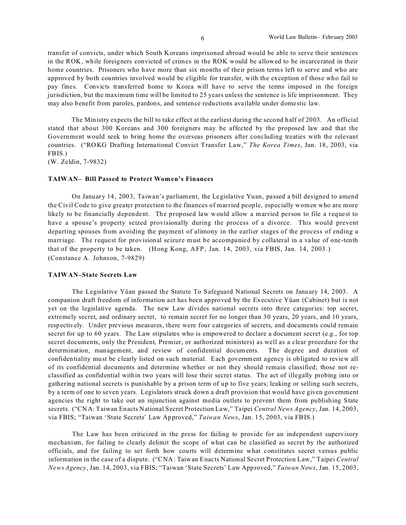transfer of convicts, under which South Koreans imprisoned abroad would be able to serve their sentences in the ROK, while foreigners convicted of crimes in the ROK would be allowed to be incarcerated in their home countries. Prisoners who have more than six months of their prison terms left to serve and who are approved by both countries involved would be eligible for transfer, with the exception of those who fail to pay fines. Convicts transferred home to Korea will have to serve the terms imposed in the foreign jurisdiction, but the maximum time will be limited to 25 years unless the sentence is life imprisonment. They may also benefit from paroles, pardons, and sentence reductions available under domestic law.

The Ministry expects the bill to take effect at the earliest during the second half of 2003. An official stated that about 300 Koreans and 300 foreigners may be affected by the proposed law and that the Government would seek to bring home the overseas prisoners after concluding treaties with the relevant countries. ("ROKG Drafting International Convict Transfer Law," *The Korea Times*, Jan. 18, 2003, via FBIS.)

(W. Zeldin, 7-9832)

#### **TAIWAN– Bill Passed to Protect Women's Finances**

On January 14, 2003, Taiwan's parliament, the Legislative Yuan, passed a bill designed to amend the Civil Code to give greater protection to the finances of married people, especially women who are more likely to be financially dependent. The proposed law would allow a married person to file a request to have a spouse's property seized provisionally during the process of a divorce. This would prevent departing spouses from avoiding the payment of alimony in the earlier stages of the process of ending a marriage. The request for provisional seizure must be accompanied by collateral in a value of one-tenth that of the property to be taken. (Hong Kong, AFP, Jan. 14, 2003, via FBIS, Jan. 14, 2003.) (Constance A. Johnson, 7-9829)

#### **TAIWAN–State Secrets Law**

The Legislative Yüan passed the Statute To Safeguard National Secrets on January 14, 2003. A companion draft freedom of information act has been approved by the Executive Yüan (Cabinet) but is not yet on the legislative agenda. The new Law divides national secrets into three categories: top secret, extremely secret, and ordinary secret, to remain secret for no longer than 30 years, 20 years, and 10 years, respectively. Under previous measures, there were four categories of secrets, and documents could remain secret for up to 60 years. The Law stipulates who is empowered to declare a document secret (e.g., for top secret documents, only the President, Premier, or authorized ministers) as well as a clear procedure for the determination, management, and review of confidential documents. The degree and duration of confidentiality must be clearly listed on such material. Each government agency is obligated to review all of its confidential documents and determine whether or not they should remain classified; those not reclassified as confidential within two years will lose their secret status. The act of illegally probing into or gathering national secrets is punishable by a prison term of up to five years; leaking or selling such secrets, by a term of one to seven years. Legislators struck down a draft provision that would have given government agencies the right to take out an injunction against media outlets to prevent them from publishing State secrets. ("CNA: Taiwan Enacts National Secret Protection Law," Taipei *Central News Agency*, Jan. 14, 2003, via FBIS; "Taiwan 'State Secrets' Law Approved," *Taiwan News*, Jan. 15, 2003, via FBIS.)

The Law has been criticized in the press for failing to provide for an independent supervisory mechanism, for failing to clearly delimit the scope of what can be classified as secret by the authorized officials, and for failing to set forth how courts will determine what constitutes secret versus public information in the case of a dispute. ("CNA: Taiwan Enacts National Secret Protection Law," Taipei *Central News Agency*, Jan. 14, 2003, via FBIS; "Taiwan 'State Secrets' Law Approved," *Taiwan News*, Jan. 15, 2003,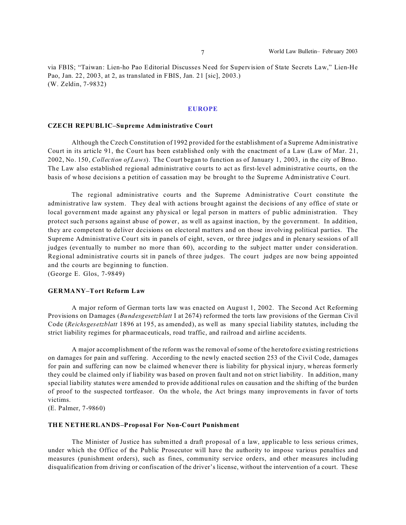via FBIS; "Taiwan: Lien-ho Pao Editorial Discusses Need for Supervision of State Secrets Law," Lien-He Pao, Jan. 22, 2003, at 2, as translated in FBIS, Jan. 21 [sic], 2003.) (W. Zeldin, 7-9832)

#### **EUROPE**

#### **CZECH REPUBLIC–Supreme Administrative Court**

Although the Czech Constitution of 1992 provided for the establishment of a Supreme Administrative Court in its article 91, the Court has been established only with the enactment of a Law (Law of Mar. 21, 2002, No. 150, *Collection of Laws*). The Court began to function as of January 1, 2003, in the city of Brno. The Law also established regional administrative courts to act as first-level administrative courts, on the basis of whose decisions a petition of cassation may be brought to the Supreme Administrative Court.

The regional administrative courts and the Supreme Administrative Court constitute the administrative law system. They deal with actions brought against the decisions of any office of state or local government made against any physical or legal person in matters of public administration. They protect such persons against abuse of power, as well as against inaction, by the government. In addition, they are competent to deliver decisions on electoral matters and on those involving political parties. The Supreme Administrative Court sits in panels of eight, seven, or three judges and in plenary sessions of all judges (eventually to number no more than 60), according to the subject matter under consideration. Regional administrative courts sit in panels of three judges. The court judges are now being appointed and the courts are beginning to function.

(George E. Glos, 7-9849)

#### **GERMANY–Tort Reform Law**

A major reform of German torts law was enacted on August 1, 2002. The Second Act Reforming Provisions on Damages (*Bundesgesetzblatt* I at 2674) reformed the torts law provisions of the German Civil Code (*Reichsgesetzblatt* 1896 at 195, as amended), as well as many special liability statutes, including the strict liability regimes for pharmaceuticals, road traffic, and railroad and airline accidents.

A major accomplishment of the reform was the removal of some of the heretofore existing restrictions on damages for pain and suffering. According to the newly enacted section 253 of the Civil Code, damages for pain and suffering can now be claimed whenever there is liability for physical injury, whereas formerly they could be claimed only if liability was based on proven fault and not on strict liability. In addition, many special liability statutes were amended to provide additional rules on causation and the shifting of the burden of proof to the suspected tortfeasor. On the whole, the Act brings many improvements in favor of torts victims.

(E. Palmer, 7-9860)

#### **THE NETHERLANDS–Proposal For Non-Court Punishment**

The Minister of Justice has submitted a draft proposal of a law, applicable to less serious crimes, under which the Office of the Public Prosecutor will have the authority to impose various penalties and measures (punishment orders), such as fines, community service orders, and other measures including disqualification from driving or confiscation of the driver's license, without the intervention of a court. These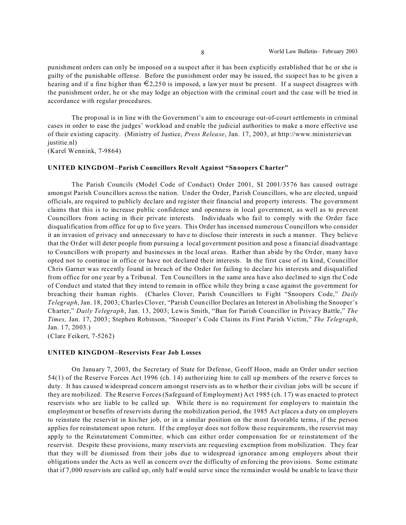punishment orders can only be imposed on a suspect after it has been explicitly established that he or she is guilty of the punishable offense. Before the punishment order may be issued, the suspect has to be given a hearing and if a fine higher than  $\epsilon_{2,250}$  is imposed, a lawyer must be present. If a suspect disagrees with the punishment order, he or she may lodge an objection with the criminal court and the case will be tried in accordance with regular procedures.

The proposal is in line with the Government's aim to encourage out-of-court settlements in criminal cases in order to ease the judges' workload and enable the judicial authorities to make a more effective use of their existing capacity. (Ministry of Justice, *Press Release*, Jan. 17, 2003, at http://www.ministerievan justitie.nl)

(Karel Wennink, 7-9864)

#### **UNITED KINGDOM–Parish Councillors Revolt Against "Snoopers Charter"**

The Parish Councils (Model Code of Conduct) Order 2001, SI 2001/3576 has caused outrage amongst Parish Councillors across the nation. Under the Order, Parish Councillors, who are elected, unpaid officials, are required to publicly declare and register their financial and property interests. The government claims that this is to increase public confidence and openness in local government, as well as to prevent Councillors from acting in their private interests. Individuals who fail to comply with the Order face disqualification from office for up to five years. This Order has incensed numerous Councillors who consider it an invasion of privacy and unnecessary to have to disclose their interests in such a manner. They believe that the Order will deter people from pursuing a local government position and pose a financial disadvantage to Councillors with property and businesses in the local areas. Rather than abide by the Order, many have opted not to continue in office or have not declared their interests. In the first case of its kind, Councillor Chris Garner was recently found in breach of the Order for failing to declare his interests and disqualified from office for one year by a Tribunal. Ten Councillors in the same area have also declined to sign the Code of Conduct and stated that they intend to remain in office while they bring a case against the government for breaching their human rights. (Charles Clover, Parish Councillors to Fight "Snoopers Code," *Daily Telegraph*, Jan. 18, 2003; Charles Clover, "Parish Councillor Declares an Interest in Abolishing the Snooper's Charter," *Daily Telegraph*, Jan. 13, 2003; Lewis Smith, "Ban for Parish Councillor in Privacy Battle," *The Times,* Jan. 17, 2003; Stephen Robinson, "Snooper's Code Claims its First Parish Victim," *The Telegraph*, Jan. 17, 2003.)

(Clare Feikert, 7-5262)

#### **UNITED KINGDOM–Reservists Fear Job Losses**

On January 7, 2003, the Secretary of State for Defense, Geoff Hoon, made an Order under section 54(1) of the Reserve Forces Act 1996 (ch. 14) authorizing him to call up members of the reserve forces to duty. It has caused widespread concern amongst reservists as to whether their civilian jobs will be secure if they are mobilized. The Reserve Forces (Safeguard of Employment) Act 1985 (ch. 17) was enacted to protect reservists who are liable to be called up. While there is no requirement for employers to maintain the employment or benefits of reservists during the mobilization period, the 1985 Act places a duty on employers to reinstate the reservist in his/her job, or in a similar position on the most favorable terms, if the person applies for reinstatement upon return. If the employer does not follow these requirements, the reservist may apply to the Reinstatement Committee, which can either order compensation for or reinstatement of the reservist. Despite these provisions, many reservists are requesting exemption from mobilization. They fear that they will be dismissed from their jobs due to widespread ignorance among employers about their obligations under the Acts as well as concern over the difficulty of enforcing the provisions. Some estimate that if 7,000 reservists are called up, only half would serve since the remainder would be unable to leave their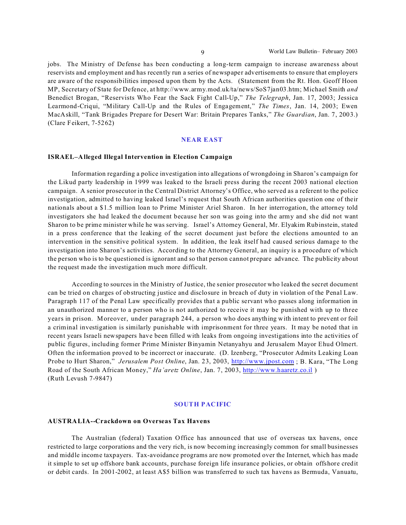jobs. The Ministry of Defense has been conducting a long-term campaign to increase awareness about reservists and employment and has recently run a series of newspaper advertisements to ensure that employers are aware of the responsibilities imposed upon them by the Acts. (Statement from the Rt. Hon. Geoff Hoon MP, Secretary of State for Defence, at http://www.army.mod.uk/ta/news/SoS7jan03.htm; Michael Smith *and* Benedict Brogan, "Reservists Who Fear the Sack Fight Call-Up," *The Telegraph*, Jan. 17, 2003; Jessica Learmond-Criqui, "Military Call-Up and the Rules of Engagement," *The Times*, Jan. 14, 2003; Ewen MacAskill, "Tank Brigades Prepare for Desert War: Britain Prepares Tanks," *The Guardian*, Jan. 7, 2003.) (Clare Feikert, 7-5262)

#### **NEAR EAST**

#### **ISRAEL–Alleged Illegal Intervention in Election Campaign**

Information regarding a police investigation into allegations of wrongdoing in Sharon's campaign for the Likud party leadership in 1999 was leaked to the Israeli press during the recent 2003 national election campaign. A senior prosecutor in the Central District Attorney's Office, who served as a referent to the police investigation, admitted to having leaked Israel's request that South African authorities question one of their nationals about a \$1.5 million loan to Prime Minister Ariel Sharon. In her interrogation, the attorney told investigators she had leaked the document because her son was going into the army and she did not want Sharon to be prime minister while he was serving. Israel's Attorney General, Mr. Elyakim Rubinstein, stated in a press conference that the leaking of the secret document just before the elections amounted to an intervention in the sensitive political system. In addition, the leak itself had caused serious damage to the investigation into Sharon's activities. According to the Attorney General, an inquiry is a procedure of which the person who is to be questioned is ignorant and so that person cannot prepare advance. The publicity about the request made the investigation much more difficult.

According to sources in the Ministry of Justice, the senior prosecutor who leaked the secret document can be tried on charges of obstructing justice and disclosure in breach of duty in violation of the Penal Law. Paragraph 117 of the Penal Law specifically provides that a public servant who passes along information in an unauthorized manner to a person who is not authorized to receive it may be punished with up to three years in prison. Moreover, under paragraph 244, a person who does anything with intent to prevent or foil a criminal investigation is similarly punishable with imprisonment for three years. It may be noted that in recent years Israeli newspapers have been filled with leaks from ongoing investigations into the activities of public figures, including former Prime Minister Binyamin Netanyahyu and Jerusalem Mayor Ehud Olmert. Often the information proved to be incorrect or inaccurate. (D. Izenberg, "Prosecutor Admits Leaking Loan Probe to Hurt Sharon," *Jerusalem Post Online*, Jan. 23, 2003, http://www.jpost.com ; B. Kara, "The Long Road of the South African Money," *Ha'aretz Online*, Jan. 7, 2003, http://www.haaretz.co.il ) (Ruth Levush 7-9847)

#### **SOUTH PACIFIC**

#### **AUSTRALIA--Crackdown on Overseas Tax Havens**

The Australian (federal) Taxation Office has announced that use of overseas tax havens, once restricted to large corporations and the very rich, is now becoming increasingly common for small businesses and middle income taxpayers. Tax-avoidance programs are now promoted over the Internet, which has made it simple to set up offshore bank accounts, purchase foreign life insurance policies, or obtain offshore credit or debit cards. In 2001-2002, at least A\$5 billion was transferred to such tax havens as Bermuda, Vanuatu,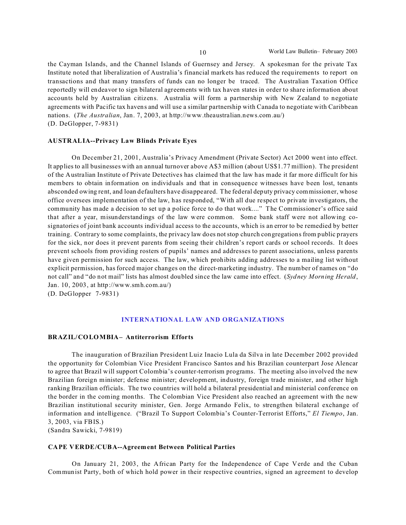the Cayman Islands, and the Channel Islands of Guernsey and Jersey. A spokesman for the private Tax Institute noted that liberalization of Australia's financial markets has reduced the requirements to report on transactions and that many transfers of funds can no longer be traced. The Australian Taxation Office reportedly will endeavor to sign bilateral agreements with tax haven states in order to share information about accounts held by Australian citizens. Australia will form a partnership with New Zealand to negotiate agreements with Pacific tax havens and will use a similar partnership with Canada to negotiate with Caribbean nations. (*The Australian*, Jan. 7, 2003, at http://www.theaustralian.news.com.au/) (D. DeGlopper, 7-9831)

#### **AUSTRALIA--Privacy Law Blinds Private Eyes**

On December 21, 2001, Australia's Privacy Amendment (Private Sector) Act 2000 went into effect. It applies to all businesses with an annual turnover above A\$3 million (about US\$1.77 million). The president of the Australian Institute of Private Detectives has claimed that the law has made it far more difficult for his members to obtain information on individuals and that in consequence witnesses have been lost, tenants absconded owing rent, and loan defaulters have disappeared. The federal deputy privacy commissioner, whose office oversees implementation of the law, has responded, "With all due respect to private investigators, the community has made a decision to set up a police force to do that work...." The Commissioner's office said that after a year, misunderstandings of the law were common. Some bank staff were not allowing cosignatories of joint bank accounts individual access to the accounts, which is an error to be remedied by better training. Contrary to some complaints, the privacy law does not stop church congregations from public prayers for the sick, nor does it prevent parents from seeing their children's report cards or school records. It does prevent schools from providing rosters of pupils' names and addresses to parent associations, unless parents have given permission for such access. The law, which prohibits adding addresses to a mailing list without explicit permission, has forced major changes on the direct-marketing industry. The number of names on "do not call" and "do not mail" lists has almost doubled since the law came into effect. (*Sydney Morning Herald*, Jan. 10, 2003, at http://www.smh.com.au/) (D. DeGlopper 7-9831)

**INTERNATIONAL LAW AND ORGANIZATIONS**

#### **BRAZIL/COLOMBIA– Antiterrorism Efforts**

The inauguration of Brazilian President Luiz Inacio Lula da Silva in late December 2002 provided the opportunity for Colombian Vice President Francisco Santos and his Brazilian counterpart Jose Alencar to agree that Brazil will support Colombia's counter-terrorism programs. The meeting also involved the new Brazilian foreign minister; defense minister; development, industry, foreign trade minister, and other high ranking Brazilian officials. The two countries will hold a bilateral presidential and ministerial conference on the border in the coming months. The Colombian Vice President also reached an agreement with the new Brazilian institutional security minister, Gen. Jorge Armando Felix, to strengthen bilateral exchange of information and intelligence. ("Brazil To Support Colombia's Counter-Terrorist Efforts," *El Tiempo*, Jan. 3, 2003, via FBIS.)

(Sandra Sawicki, 7-9819)

#### **CAPE VERDE/CUBA--Agreement Between Political Parties**

On January 21, 2003, the African Party for the Independence of Cape Verde and the Cuban Communist Party, both of which hold power in their respective countries, signed an agreement to develop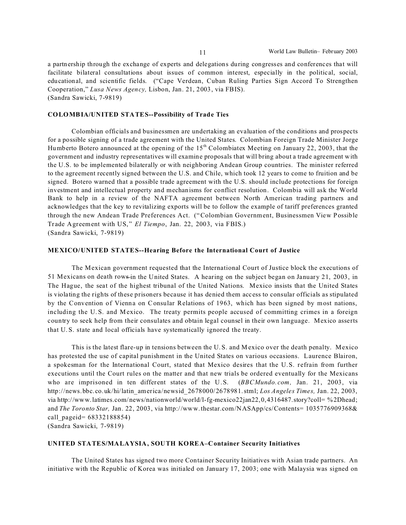a partnership through the exchange of experts and delegations during congresses and conferences that will facilitate bilateral consultations about issues of common interest, especially in the political, social, educational, and scientific fields. ("Cape Verdean, Cuban Ruling Parties Sign Accord To Strengthen Cooperation," *Lusa News Agency,* Lisbon, Jan. 21, 2003, via FBIS). (Sandra Sawicki, 7-9819)

#### **COLOMBIA/UNITED STATES--Possibility of Trade Ties**

Colombian officials and businessmen are undertaking an evaluation of the conditions and prospects for a possible signing of a trade agreement with the United States. Colombian Foreign Trade Minister Jorge Humberto Botero announced at the opening of the 15<sup>th</sup> Colombiatex Meeting on January 22, 2003, that the government and industry representatives will examine proposals that will bring about a trade agreement with the U.S. to be implemented bilaterally or with neighboring Andean Group countries. The minister referred to the agreement recently signed between the U.S. and Chile, which took 12 years to come to fruition and be signed. Botero warned that a possible trade agreement with the U.S. should include protections for foreign investment and intellectual property and mechanisms for conflict resolution. Colombia will ask the World Bank to help in a review of the NAFTA agreement between North American trading partners and acknowledges that the key to revitalizing exports will be to follow the example of tariff preferences granted through the new Andean Trade Preferences Act. ("Colombian Government, Businessmen View Possible Tr ade Agreement with US," *El Tiempo*, Jan. 22, 2003, via FBIS.) (Sandra Sawicki, 7-9819)

#### **MEXICO/UNITED STATES--Hearing Before the International Court of Justice**

The Mexican government requested that the International Court of Justice block the executions of 51 Mexicans on death rows in the United States. A hearing on the subject began on January 21, 2003, in The Hague, the seat of the highest tribunal of the United Nations. Mexico insists that the United States is violating the rights of these prisoners because it has denied them access to consular officials as stipulated by the Convention of Vienna on Consular Relations of 1963, which has been signed by most nations, including the U. S. and Mexico. The treaty permits people accused of committing crimes in a foreign country to seek help from their consulates and obtain legal counsel in their own language. Mexico asserts that U. S. state and local officials have systematically ignored the treaty.

This is the latest flare-up in tensions between the U. S. and Mexico over the death penalty. Mexico has protested the use of capital punishment in the United States on various occasions. Laurence Blairon, a spokesman for the International Court, stated that Mexico desires that the U.S. r efrain from further executions until the Court rules on the matter and that new trials be ordered eventually for the Mexicans who are imprisoned in ten different states of the U.S. (*BBCMundo.com,* Jan. 21, 2003, via http://news.bbc. co.uk/hi/latin\_america/newsid\_2678000/2678981.stml; *Los Angeles Times,* Jan. 22, 2003, via http://www.latimes.com/news/nationworld/world/l-fg-mexico22jan22,0,4316487.story?coll= %2Dhead; and *The Toronto Star,* Jan. 22, 2003, via http://www.thestar.com/NASApp/cs/Contents= 1035776909368& call\_pageid= 68332188854) (Sandra Sawicki, 7-9819)

**UNITED STATES/MALAYSIA, SOUTH KOREA–Container Security Initiatives**

The United States has signed two more Container Security Initiatives with Asian trade partners. An initiative with the Republic of Korea was initialed on January 17, 2003; one with Malaysia was signed on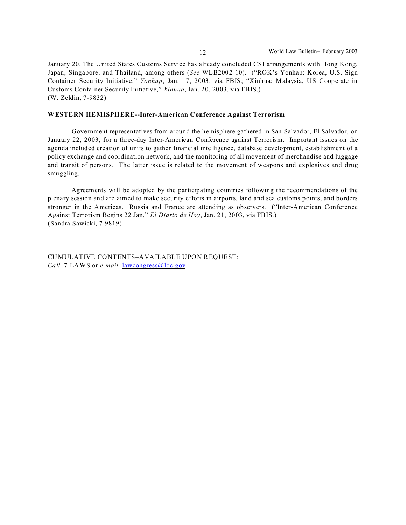January 20. The United States Customs Service has already concluded CSI arrangements with Hong Kong, Japan, Singapore, and Thailand, among others (*See* WLB2002-10). ("ROK's Yonhap: Korea, U.S. Sign Container Security Initiative," *Yonhap*, Jan. 17, 2003, via FBIS; "Xinhua: Malaysia, US Cooperate in Customs Container Security Initiative," *Xinhua*, Jan. 20, 2003, via FBIS.) (W. Zeldin, 7-9832)

#### **WESTERN HEMISPHERE--Inter-American Conference Against Terrorism**

Government representatives from around the hemisphere gathered in San Salvador, El Salvador, on January 22, 2003, for a three-day Inter-American Conference against Terrorism. Important issues on the agenda included creation of units to gather financial intelligence, database development, establishment of a policy exchange and coordination network, and the monitoring of all movement of merchandise and luggage and transit of persons. The latter issue is related to the movement of weapons and explosives and drug smuggling.

Agreements will be adopted by the participating countries following the recommendations of the plenary session and are aimed to make security efforts in airports, land and sea customs points, and borders stronger in the Americas. Russia and France are attending as observers. ("Inter-American Conference Against Terrorism Begins 22 Jan," *El Diario de Hoy*, Jan. 21, 2003, via FBIS.) (Sandra Sawicki, 7-9819)

CUMULATIVE CONTENTS–AVAILABLE UPON REQUEST: *Call* 7-LAWS or *e-mail* lawcongress@loc.gov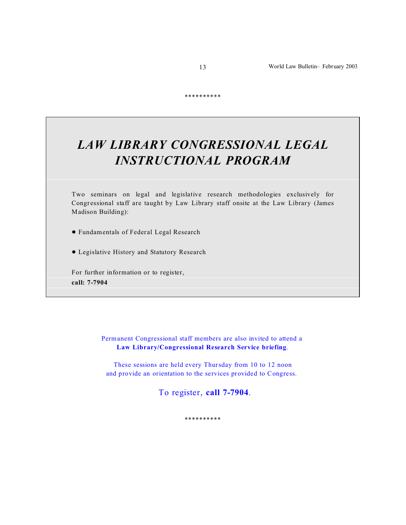\*\*\*\*\*\*\*\*\*\*

# *LAW LIBRARY CONGRESSIONAL LEGAL INSTRUCTIONAL PROGRAM*

Two seminars on legal and legislative research methodologies exclusively for Congr essional staff are taught by Law Library staff onsite at the Law Library (James Madison Building):

! Fundamentals of Federal Legal Research

! Legislative History and Statutory Research

For further information or to register, **call: 7-7904**

> Permanent Congressional staff members are also invited to attend a **Law Library/Congressional Research Service briefing**.

These sessions are held every Thursday from 10 to 12 noon and provide an orientation to the services provided to Congress.

To register, **call 7-7904**.

\*\*\*\*\*\*\*\*\*\*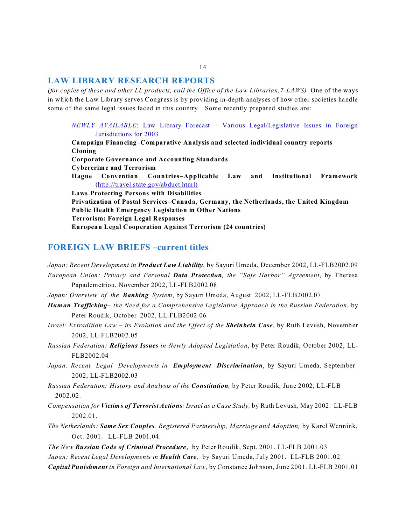#### **LAW LIBRARY RESEARCH REPORTS**

*(for copies of these and other LL products, call the Office of the Law Librarian,7-LAWS)* One of the ways in which the Law Library serves Congress is by providing in-depth analyses of how other societies handle some of the same legal issues faced in this country. Some recently prepared studies are:

*NEWLY AVAILABLE*: Law Library Forecast – Various Legal/Legislative Issues in Foreign Jurisdictions for 2003

**Campaign Financing–Comparative Analysis and selected individual country reports Cloning Corporate Governance and Accounting Standards Cybercrime and Terrorism Hague Convention Countries–Applicable Law and Institutional Framework** (http://travel.state.gov/abduct.html) **Laws Protecting Persons with Disabilities Privatization of Postal Services–Canada, Germany, the Netherlands, the United Kingdom Public Health Emergency Legislation in Other Nations Terrorism: Foreign Legal Responses European Legal Cooperation Against Terrorism (24 countries)**

#### **FOREIGN LAW BRIEFS –current titles**

*Japan: Recent Development in Product Law Liability*, by Sayuri Umeda, December 2002, LL-FLB2002.09 *European Union: Privacy and Personal Data Protection, the "Safe Harbor" Agreement*, by Theresa Papademetriou, November 2002, LL-FLB2002.08

*Japan: Overview of the Banking System*, by Sayuri Umeda, August 2002, LL-FLB2002.07

- *Human Trafficking the Need for a Comprehensive Legislative Approach in the Russian Federation*, by Peter Roudik, October 2002, LL-FLB2002.06
- *Israel: Extradition Law its Evolution and the Effect of the Sheinbein Case*, by Ruth Levush, November 2002, LL-FLB2002.05
- *Russian Federation: Religious Issues in Newly Adopted Legislation*, by Peter Roudik, October 2002, LL-FLB2002.04
- *Japan: Recent Legal Developments in Employment Discrimination*, by Sayuri Umeda, September 2002, LL-FLB2002.03

*Russian Federation: History and Analysis of the Constitution,* by Peter Roudik, June 2002, LL-FLB 2002.02.

- *Compensation for Victims of Terrorist Actions: Israel as a Case Study,* by Ruth Levush, May 2002. LL-FLB 2002.01.
- *The Netherlands: Same Sex Couples, Registered Partnership, Marriage and Adoption,* by Karel Wennink, Oct. 2001. LL-FLB 2001.04.
- *The New Russian Code of Criminal Procedure*, by Peter Roudik, Sept. 2001. LL-FLB 2001.03

*Japan: Recent Legal Developments in Health Care,* by Sayuri Umeda, July 2001. LL-FLB 2001.02

*Capital Punishment in Foreign and International Law*, by Constance Johnson, June 2001. LL-FLB 2001.01

#### 14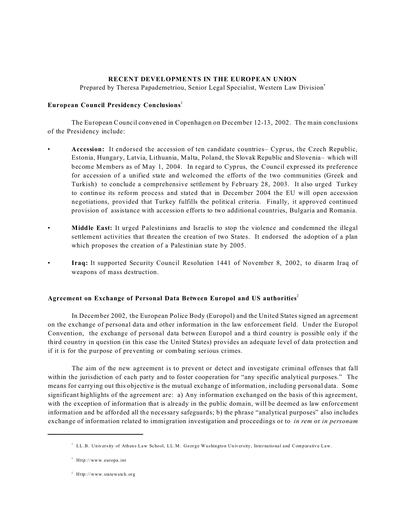#### **RECENT DEVELOPMENTS IN THE EUROPEAN UNION**

Prepared by Theresa Papademetriou, Senior Legal Specialist, Western Law Division\*

#### **European Council Presidency Conclusions**<sup>1</sup>

The European Council convened in Copenhagen on December 12-13, 2002. The main conclusions of the Presidency include:

- **Accession:** It endorsed the accession of ten candidate countries– Cyprus, the Czech Republic, Estonia, Hungary, Latvia, Lithuania, Malta, Poland, the Slovak Republic and Slovenia– which will become Members as of May 1, 2004. In regard to Cyprus, the Council expressed its preference for accession of a unified state and welcomed the efforts of the two communities (Greek and Turkish) to conclude a comprehensive settlement by February 28, 2003. It also urged Turkey to continue its reform process and stated that in December 2004 the EU will open accession negotiations, provided that Turkey fulfills the political criteria. Finally, it approved continued provision of assistance with accession efforts to two additional countries, Bulgaria and Romania.
- **Middle East:** It urged Palestinians and Israelis to stop the violence and condemned the illegal settlement activities that threaten the creation of two States. It endorsed the adoption of a plan which proposes the creation of a Palestinian state by 2005.
- **Iraq:** It supported Security Council Resolution 1441 of November 8, 2002, to disarm Iraq of weapons of mass destruction.

#### **Agreement on Exchange of Personal Data Between Europol and US authorities**<sup>2</sup>

In December 2002, the European Police Body (Europol) and the United States signed an agreement on the exchange of personal data and other information in the law enforcement field. Under the Europol Convention, the exchange of personal data between Europol and a third country is possible only if the third country in question (in this case the United States) provides an adequate level of data protection and if it is for the purpose of preventing or combating serious crimes.

The aim of the new agreement is to prevent or detect and investigate criminal offenses that fall within the jurisdiction of each party and to foster cooperation for "any specific analytical purposes." The means for carrying out this objective is the mutual exchange of information, including personal data. Some significant highlights of the agreement are: a) Any information exchanged on the basis of this agreement, with the exception of information that is already in the public domain, will be deemed as law enforcement information and be afforded all the necessary safeguards; b) the phrase "analytical purposes" also includes exchange of information related to immigration investigation and proceedings or to *in rem* or *in personam*

<sup>\*</sup> LL.B. University of Athens Law School, LL.M. George Washington University, International and Comparative Law.

<sup>&</sup>lt;sup>1</sup> Http://www.europa.int

<sup>2</sup> Http://www.statewatch.org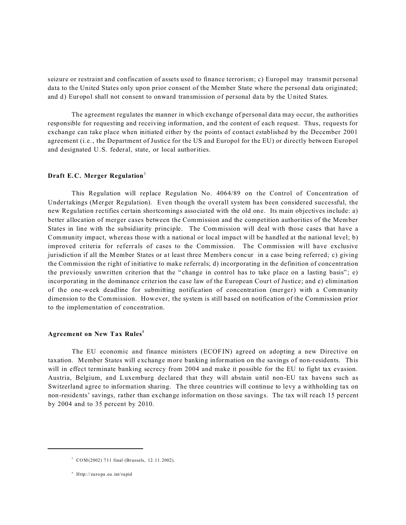seizure or restraint and confiscation of assets used to finance terrorism; c) Europol may transmit personal data to the United States only upon prior consent of the Member State where the personal data originated; and d) Europol shall not consent to onward transmission of personal data by the United States.

The agreement regulates the manner in which exchange of personal data may occur, the authorities responsible for requesting and receiving information, and the content of each request. Thus, requests for exchange can take place when initiated either by the points of contact established by the December 2001 agreement (i. e., the Department of Justice for the US and Europol for the EU) or directly between Europol and designated U.S. feder al, state, or local authorities.

#### **Draft E.C. Merger Regulation**<sup>3</sup>

This Regulation will replace Regulation No. 4064/89 on the Control of Concentration of Undertakings (Merger Regulation). Even though the overall system has been considered successful, the new Regulation rectifies certain shortcomings associated with the old one. Its main objectives include: a) better allocation of merger cases between the Commission and the competition authorities of the Member States in line with the subsidiarity principle. The Commission will deal with those cases that have a Community impact, whereas those with a national or local impact will be handled at the national level; b) improved criteria for referrals of cases to the Commission. The Commission will have exclusive jurisdiction if all the Member States or at least three Members concur in a case being referred; c) giving the Commission the right of initiative to make referrals; d) incorporating in the definition of concentration the previously unwritten criterion that the " change in control has to take place on a lasting basis" ; e) incorporating in the dominance criterion the case law of the European Court of Justice; and e) elimination of the one-week deadline for submitting notification of concentration (merger) with a Community dimension to the Commission. However, the system is still based on notification of the Commission prior to the implementation of concentration.

#### **Agreement on New Tax Rules**<sup>4</sup>

The EU economic and finance ministers (ECOF IN) agreed on adopting a new Directive on taxation. Member States will exchange more banking information on the savings of non-residents. This will in effect terminate banking secrecy from 2004 and make it possible for the EU to fight tax evasion. Austria, Belgium, and Luxemburg declared that they will abstain until non-EU tax havens such as Switzerland agree to information sharing. The three countries will continue to levy a withholding tax on non-residents' savings, rather than exchange information on those savings. The tax will reach 15 percent by 2004 and to 35 percent by 2010.

<sup>&</sup>lt;sup>3</sup> COM(2002) 711 final (Brussels, 12.11.2002).

<sup>4</sup> Http:// euro pa. eu.int/ra pid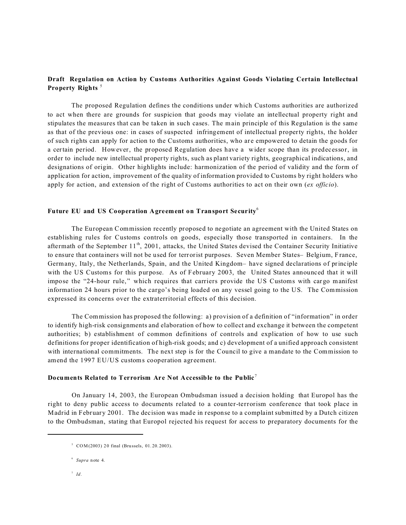#### **Draft Regulation on Action by Customs Authorities Against Goods Violating Certain Intellectual Property Rights** <sup>5</sup>

The proposed Regulation defines the conditions under which Customs authorities are authorized to act when there are grounds for suspicion that goods may violate an intellectual property right and stipulates the measures that can be taken in such cases. The main principle of this Regulation is the same as that of the previous one: in cases of suspected infringement of intellectual property rights, the holder of such rights can apply for action to the Customs authorities, who ar e empowered to detain the goods for a certain period. However, the proposed Regulation does have a wider scope than its predecessor, in order to include new intellectual property rights, such as plant variety rights, geographical indications, and designations of origin. Other highlights include: harmonization of the period of validity and the form of application for action, improvement of the quality of information provided to Customs by right holders who apply for action, and extension of the right of Customs authorities to act on their own (*ex officio*).

#### **Future EU and US Cooperation Agreement on Transport Security**<sup>6</sup>

The European Commission recently proposed to negotiate an agreement with the United States on establishing rules for Customs controls on goods, especially those transported in containers. In the aftermath of the September 11<sup>th</sup>, 2001, attacks, the United States devised the Container Security Initiative to ensure that containers will not be used for terrorist purposes. Seven Member States- Belgium, France, Germany, Italy, the Netherlands, Spain, and the United Kingdom– have signed declarations of principle with the US Customs for this purpose. As of February 2003, the United States announced that it will impose the "24-hour rule," which requires that carriers provide the US Customs with cargo manifest information 24 hours prior to the cargo's being loaded on any vessel going to the US. The Commission expressed its concerns over the extraterritorial effects of this decision.

The Commission has proposed the following: a) provision of a definition of "information" in order to identify high-risk consignments and elaboration of how to collect and exchange it between the competent authorities; b) establishment of common definitions of controls and explication of how to use such definitions for proper identification of high-risk goods; and c) development of a unified approach consistent with international commitments. The next step is for the Council to give a mandate to the Commission to amend the 1997 EU/US customs cooperation agreement.

#### **Documents Related to Terrorism Are Not Accessible to the Public** <sup>7</sup>

On January 14, 2003, the European Ombudsman issued a decision holding that Europol has the right to deny public access to documents related to a counter-terrorism conference that took place in Madrid in February 2001. The decision was made in response to a complaint submitted by a Dutch citizen to the Ombudsman, stating that Europol rejected his request for access to preparatory documents for the

 $^7$  *Id.* 

 $5$  COM(2003) 20 final (Brussels, 01.20.2003).

<sup>6</sup> *Supra* note 4.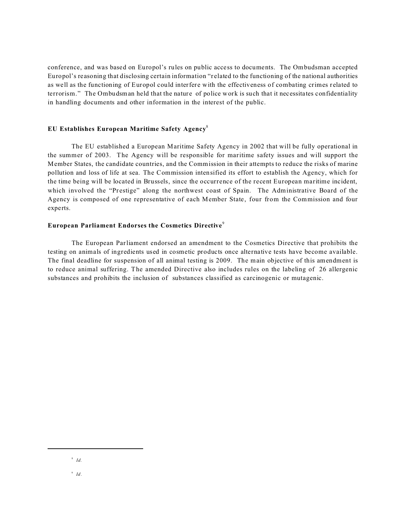conference, and was based on Europol's rules on public access to documents. The Ombudsman accepted Europol's reasoning that disclosing certain information "r elated to the functioning of the national authorities as well as the functioning of Europol could interfere with the effectiveness of combating crimes related to terrorism." The Ombudsman held that the nature of police work is such that it necessitates confidentiality in handling documents and other information in the interest of the public.

#### **EU Establishes European Maritime Safety Agency**<sup>8</sup>

The EU established a European Maritime Safety Agency in 2002 that will be fully operational in the summer of 2003. The Agency will be responsible for maritime safety issues and will support the Member States, the candidate countries, and the Commission in their attempts to reduce the risks of marine pollution and loss of life at sea. The Commission intensified its effort to establish the Agency, which for the time being will be located in Brussels, since the occurrence of the recent European maritime incident, which involved the "Prestige" along the northwest coast of Spain. The Administrative Board of the Agency is composed of one representative of each Member State, four from the Commission and four experts.

#### **European Parliament Endorses the Cosmetics Directive**<sup>9</sup>

The European Parliament endorsed an amendment to the Cosmetics Directive that prohibits the testing on animals of ingredients used in cosmetic products once alternative tests have become available. The final deadline for suspension of all animal testing is 2009. The main objective of this amendment is to reduce animal suffering. The amended Directive also includes rules on the labeling of 26 allergenic substances and prohibits the inclusion of substances classified as carcinogenic or mutagenic.

<sup>8</sup>  *Id.*

<sup>9</sup> *Id.*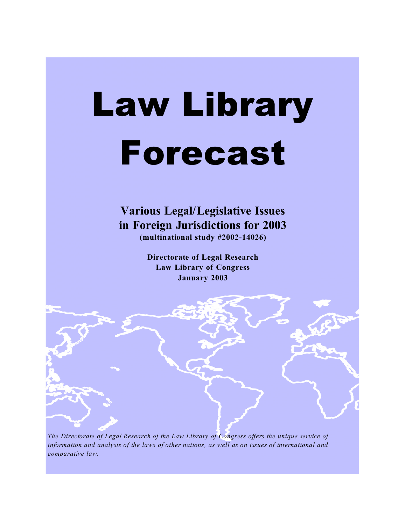# Law Library Forecast

# **Various Legal/Legislative Issues in Foreign Jurisdictions for 2003 (multinational study #2002-14026)**

**Directorate of Legal Research Law Library of Congress January 2003**

*The Directorate of Legal Research of the Law Library of Congress offers the unique service of information and analysis of the laws of other nations, as well as on issues of international and comparative law*.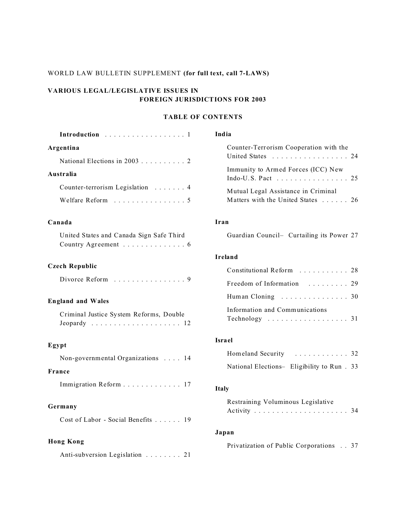## WORLD LAW BULLETIN SUPPLEMENT **(for full text, call 7-LAWS)**

## **VARIOUS LEGAL/LEGISLATIVE ISSUES IN FOREIGN JURISDICTIONS FOR 2003**

## **TABLE OF CONTENTS**

| Introduction 1                                                  | India                                                                                            |  |  |  |  |  |  |  |
|-----------------------------------------------------------------|--------------------------------------------------------------------------------------------------|--|--|--|--|--|--|--|
| Argentina<br>National Elections in 2003 2                       | Counter-Terrorism Cooperation with the<br>United States 24                                       |  |  |  |  |  |  |  |
| Australia                                                       | Immunity to Armed Forces (ICC) New<br>Indo-U.S. Pact $\ldots \ldots \ldots \ldots \ldots$<br>2.5 |  |  |  |  |  |  |  |
| Counter-terrorism Legislation 4<br>Welfare Reform 5             | Mutual Legal Assistance in Criminal<br>Matters with the United States 26                         |  |  |  |  |  |  |  |
| Canada                                                          | Iran                                                                                             |  |  |  |  |  |  |  |
| United States and Canada Sign Safe Third<br>Country Agreement 6 | Guardian Council- Curtailing its Power 27                                                        |  |  |  |  |  |  |  |
|                                                                 | Ireland                                                                                          |  |  |  |  |  |  |  |
| <b>Czech Republic</b>                                           | Constitutional Reform 28                                                                         |  |  |  |  |  |  |  |
| Divorce Reform 9                                                | Freedom of Information  29                                                                       |  |  |  |  |  |  |  |
| <b>England and Wales</b>                                        | Human Cloning 30                                                                                 |  |  |  |  |  |  |  |
| Criminal Justice System Reforms, Double                         | Information and Communications<br>Technology $\ldots \ldots \ldots \ldots \ldots \ldots 31$      |  |  |  |  |  |  |  |
| Egypt                                                           | <b>Israel</b>                                                                                    |  |  |  |  |  |  |  |
| Non-governmental Organizations 14                               | Homeland Security  32                                                                            |  |  |  |  |  |  |  |
| France                                                          | National Elections- Eligibility to Run . 33                                                      |  |  |  |  |  |  |  |
| Immigration Reform 17                                           | <b>Italy</b>                                                                                     |  |  |  |  |  |  |  |
| Germany<br>Cost of Labor - Social Benefits 19                   | Restraining Voluminous Legislative                                                               |  |  |  |  |  |  |  |
|                                                                 | Japan                                                                                            |  |  |  |  |  |  |  |
| <b>Hong Kong</b><br>Anti-subversion Legislation 21              | Privatization of Public Corporations 37                                                          |  |  |  |  |  |  |  |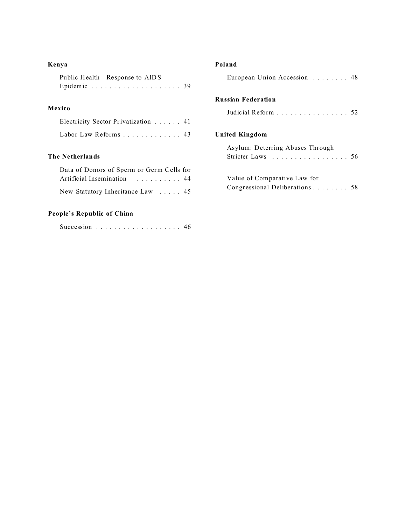## **Kenya**

| Public Health-Response to AIDS |  |  |  |  |  |  |  |  |  |  |  |
|--------------------------------|--|--|--|--|--|--|--|--|--|--|--|
|                                |  |  |  |  |  |  |  |  |  |  |  |

## **Mexico**

| Electricity Sector Privatization 41 |  |
|-------------------------------------|--|
| Labor Law Reforms 43                |  |

#### **The Netherlands**

| Data of Donors of Sperm or Germ Cells for |  |
|-------------------------------------------|--|
| Artificial Insemination 44                |  |
| New Statutory Inheritance Law  45         |  |

# **People's Republic of China**

|  |  |  |  |  |  |  |  |  |  |  |  |  |  |  |  |  |  |  |  | 46 |  |
|--|--|--|--|--|--|--|--|--|--|--|--|--|--|--|--|--|--|--|--|----|--|
|--|--|--|--|--|--|--|--|--|--|--|--|--|--|--|--|--|--|--|--|----|--|

## **Poland**

| European Union Accession  48                                   |  |
|----------------------------------------------------------------|--|
| <b>Russian Federation</b>                                      |  |
| Judicial Reform 52                                             |  |
| <b>United Kingdom</b>                                          |  |
| Asylum: Deterring Abuses Through<br>Stricter Laws 56           |  |
| Value of Comparative Law for<br>Congressional Deliberations 58 |  |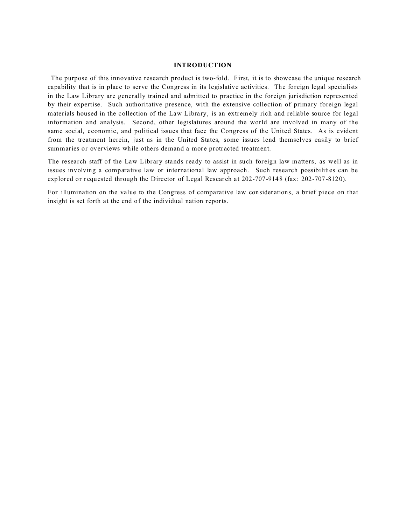#### **INTRODUCTION**

 The purpose of this innovative research product is two-fold. First, it is to showcase the unique research capability that is in place to serve the Congress in its legislative activities. The foreign legal specialists in the Law Library are generally trained and admitted to practice in the foreign jurisdiction represented by their expertise. Such authoritative presence, with the extensive collection of primary foreign legal materials housed in the collection of the Law Library, is an extremely rich and reliable source for legal information and analysis. Second, other legislatures around the world are involved in many of the same social, economic, and political issues that face the Congress of the United States. As is evident from the treatment herein, just as in the United States, some issues lend themselves easily to brief summaries or overviews while others demand a more protracted treatment.

The research staff of the Law Library stands ready to assist in such foreign law matters, as well as in issues involving a comparative law or international law approach. Such research possibilities can be explored or requested through the Director of Legal Research at 202-707-9148 (fax: 202-707-8120).

For illumination on the value to the Congress of comparative law consider ations, a brief piece on that insight is set forth at the end of the individual nation reports.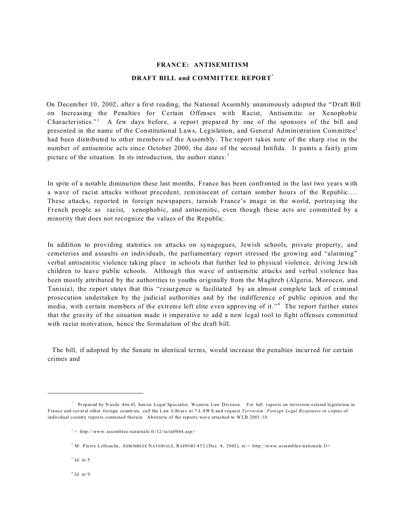# **FRANCE: ANTISEMITISM DRAFT BILL and COMMITTEE REPORT\***

 On December 10, 2002, after a first reading, the National Assembly unanimously adopted the " Draft Bill on Increasing the Penalties for Certain Offenses with Racist, Antisemitic or Xenophobic Characteristics." A few days before, a report prepared by one of the sponsors of the bill and presented in the name of the Constitutional Laws, Legislation, and General Administration Committee<sup>2</sup> had been distributed to other members of the Assembly. The report takes note of the sharp rise in the number of antisemitic acts since October 2000, the date of the second Intifida. It paints a fairly grim picture of the situation. In its introduction, the author states:<sup>3</sup>

In spite of a notable diminution these last months, France has been confronted in the last two years with a wave of racist attacks without precedent, reminiscent of certain somber hours of the Republic.... These attacks, reported in foreign newspapers, tarnish France's image in the world, portraying the French people as racist, xenophobic, and antisemitic, even though these acts are committed by a minority that does not recognize the values of the Republic.

In addition to providing statistics on attacks on synagogues, Jewish schools, private property, and cemeteries and assaults on individuals, the parliamentary report stressed the growing and "alarming" verbal antisemitic violence taking place in schools that further led to physical violence, driving Jewish children to leave public schools. Although this wave of antisemitic attacks and verbal violence has been mostly attributed by the authorities to youths originally from the Maghreb (Algeria, Morocco, and Tunisia), the report states that this "resurgence is facilitated by an almost complete lack of criminal prosecution undertaken by the judicial authorities and by the indifference of public opinion and the media, with certain members of the extreme left elite even approving of it."<sup>4</sup> The report further states that the gravity of the situation made it imperative to add a new legal tool to fight offenses committed with racist motivation, hence the formulation of the draft bill.

The bill, if adopted by the Senate in identical terms, would increase the penalties incurred for certain crimes and

3 *Id*. at 5.

4 *Id*. at 9.

<sup>\*</sup> Prepared by Nicole Atwill, Senior Legal Specialist, Western Law Division. For full reports on terrorism-related legislation in France and several other foreign countries, call the Law Library at 7-LAWS and request *Terrorism: Foreign Legal Responses* or copies of individual country reports contained therein. Abstracts of the reports wer e attached to WLB 2001. 10.

 $1 <$  http://www.assemblee-nationale.fr/12/ta/ta0044.asp>

<sup>&</sup>lt;sup>2</sup> M. Pierre Lellouche, ASSEMBLEE NATIONALE, RAPPORT 452 (Dec. 4, 2002), at  $\lt$  http://www.assemblee-nationale.fr>